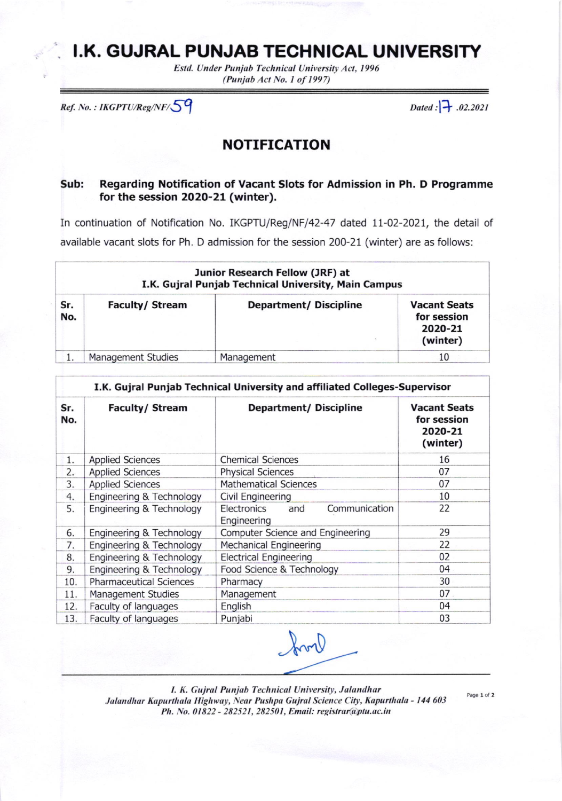## I.K. GUJRAL PUNJAB TECHNICAL UNIVERSITY

Estd. Under Punjab Technical University Act, 1996 (Punjab Act No. 1 of 1997)

Ref. No.: IKGPTU/Reg/NF/59

Dated :  $\rightarrow .02.2021$ 

## **NOTIFICATION**

## Regarding Notification of Vacant Slots for Admission in Ph. D Programme Sub: for the session 2020-21 (winter).

In continuation of Notification No. IKGPTU/Reg/NF/42-47 dated 11-02-2021, the detail of available vacant slots for Ph. D admission for the session 200-21 (winter) are as follows:

|            | Junior Research Fellow (JRF) at<br>I.K. Gujral Punjab Technical University, Main Campus |                       |                                                           |  |  |  |  |
|------------|-----------------------------------------------------------------------------------------|-----------------------|-----------------------------------------------------------|--|--|--|--|
| Sr.<br>No. | <b>Faculty/ Stream</b>                                                                  | Department/Discipline | <b>Vacant Seats</b><br>for session<br>2020-21<br>(winter) |  |  |  |  |
|            | Management Studies                                                                      | Management            | 10                                                        |  |  |  |  |

|            | I.K. Gujral Punjab Technical University and affiliated Colleges-Supervisor |                                                    |                                                           |  |  |
|------------|----------------------------------------------------------------------------|----------------------------------------------------|-----------------------------------------------------------|--|--|
| Sr.<br>No. | <b>Faculty/ Stream</b>                                                     | <b>Department/ Discipline</b>                      | <b>Vacant Seats</b><br>for session<br>2020-21<br>(winter) |  |  |
| 1.         | <b>Applied Sciences</b>                                                    | <b>Chemical Sciences</b>                           | 16                                                        |  |  |
| 2.         | <b>Applied Sciences</b>                                                    | <b>Physical Sciences</b>                           | 07                                                        |  |  |
| 3.         | <b>Applied Sciences</b>                                                    | <b>Mathematical Sciences</b>                       | 07                                                        |  |  |
| 4.         | Engineering & Technology                                                   | Civil Engineering                                  | 10                                                        |  |  |
| 5.         | Engineering & Technology                                                   | Communication<br>Electronics<br>and<br>Engineering | 22                                                        |  |  |
| 6.         | Engineering & Technology                                                   | Computer Science and Engineering                   | 29                                                        |  |  |
| 7.         | Engineering & Technology                                                   | <b>Mechanical Engineering</b>                      | 22                                                        |  |  |
| 8.         | Engineering & Technology                                                   | <b>Electrical Engineering</b>                      | 02                                                        |  |  |
| 9.         | Engineering & Technology                                                   | Food Science & Technology                          | 04                                                        |  |  |
| 10.        | <b>Pharmaceutical Sciences</b>                                             | Pharmacy                                           | 30                                                        |  |  |
| 11.        | Management Studies                                                         | Management                                         | 07                                                        |  |  |
| 12.        | Faculty of languages                                                       | English                                            | 04                                                        |  |  |
| 13.        | Faculty of languages                                                       | Punjabi                                            | 03                                                        |  |  |

Irvil

I. K. Gujral Punjab Technical University, Jalandhar Jalandhar Kapurthala Highway, Near Pushpa Gujral Science City, Kapurthala - 144 603 Ph. No. 01822 - 282521, 282501, Email: registrar@ptu.ac.in

Page 1 of 2